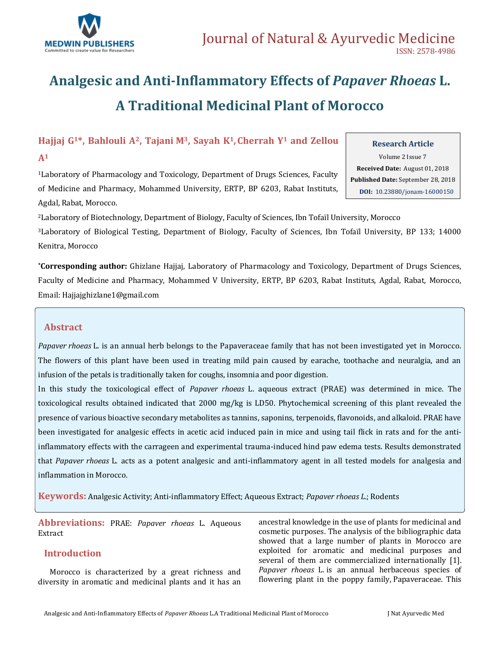

# **Analgesic and Anti-Inflammatory Effects of** *Papaver Rhoeas* **L. A Traditional Medicinal Plant of Morocco**

**Hajjaj G1\*, Bahlouli A2, Tajani M3, Sayah K1, Cherrah Y<sup>1</sup> and Zellou** 

### **A<sup>1</sup>**

<sup>1</sup>Laboratory of Pharmacology and Toxicology, Department of Drugs Sciences, Faculty of Medicine and Pharmacy, Mohammed University, ERTP, BP 6203, Rabat Instituts, Agdal, Rabat, Morocco.

### **Research Article**

Volume 2 Issue 7 **Received Date:** August 01, 2018 **Published Date:** September 28, 2018 **DOI:** [10.23880/jonam-16000150](https://doi.org/10.23880/mhrij-16000101)

<sup>2</sup>Laboratory of Biotechnology, Department of Biology, Faculty of Sciences, Ibn Tofaïl University, Morocco <sup>3</sup>Laboratory of Biological Testing, Department of Biology, Faculty of Sciences, Ibn Tofaïl University, BP 133; 14000

Kenitra, Morocco

**\*Corresponding author:** Ghizlane Hajjaj, Laboratory of Pharmacology and Toxicology, Department of Drugs Sciences, Faculty of Medicine and Pharmacy, Mohammed V University, ERTP, BP 6203, Rabat Instituts, Agdal, Rabat, Morocco, Email[: Hajjajghizlane1@gmail.com](mailto:Hajjajghizlane1@gmail.com)

# **Abstract**

*Papaver rhoeas* L. is an annual herb belongs to the Papaveraceae family that has not been investigated yet in Morocco. The flowers of this plant have been used in treating mild pain caused by earache, toothache and neuralgia, and an infusion of the petals is traditionally taken for coughs, insomnia and poor digestion.

In this study the toxicological effect of *Papaver rhoeas* L. aqueous extract (PRAE) was determined in mice. The toxicological results obtained indicated that 2000 mg/kg is LD50. Phytochemical screening of this plant revealed the presence of various bioactive secondary metabolites as tannins, saponins, terpenoids, flavonoids, and alkaloid. PRAE have been investigated for analgesic effects in acetic acid induced pain in mice and using tail flick in rats and for the antiinflammatory effects with the carrageen and experimental trauma-induced hind paw edema tests. Results demonstrated that *Papaver rhoeas* L*.* acts as a potent analgesic and anti-inflammatory agent in all tested models for analgesia and inflammation in Morocco.

**Keywords:** Analgesic Activity; Anti-inflammatory Effect; Aqueous Extract; *Papaver rhoeas L.*; Rodents

**Abbreviations:** PRAE: *Papaver rhoeas* L*.* Aqueous Extract

## **Introduction**

Morocco is characterized by a great richness and diversity in aromatic and medicinal plants and it has an ancestral knowledge in the use of plants for medicinal and cosmetic purposes. The analysis of the bibliographic data showed that a large number of plants in Morocco are exploited for aromatic and medicinal purposes and several of them are commercialized internationally [1]. *Papaver rhoeas* L*.* is an annual herbaceous species of flowering plant in the poppy family, [Papaveraceae.](https://en.wikipedia.org/wiki/Papaveraceae) This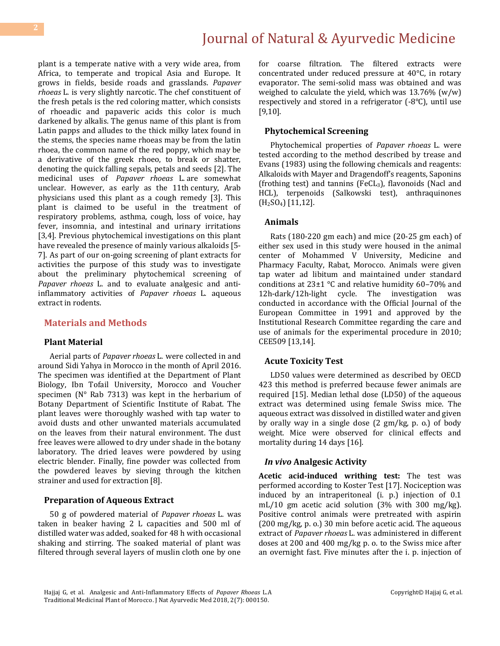plant is a temperate native with a very wide area, from Africa, to temperate and tropical Asia and Europe. It grows in fields, beside roads and grasslands. *Papaver rhoeas* L*.* is very slightly narcotic. The chef constituent of the fresh petals is the red coloring matter, which consists of rhoeadic and papaveric acids this color is much darkened by alkalis. The genus name of this plant is from Latin papps and alludes to the thick milky latex found in the stems, the species name rhoeas may be from the latin rhoea, the common name of the red poppy, which may be a derivative of the greek rhoeo, to break or shatter, denoting the quick falling sepals, petals and seeds [2]. The medicinal uses of *Papaver rhoeas* L*.* are somewhat unclear. However, as early as the 11th century, Arab physicians used this plant as a cough remedy [3]. This plant is claimed to be useful in the treatment of respiratory problems, asthma, cough, loss of voice, hay fever, insomnia, and intestinal and urinary irritations [3,4]. Previous phytochemical investigations on this plant have revealed the presence of mainly various alkaloids [5- 7]. As part of our on-going screening of plant extracts for activities the purpose of this study was to investigate about the preliminary phytochemical screening of *Papaver rhoeas* L*.* and to evaluate analgesic and antiinflammatory activities of *Papaver rhoeas* L*.* aqueous extract in rodents.

### **Materials and Methods**

#### **Plant Material**

Aerial parts of *Papaver rhoeas* L*.* were collected in and around Sidi Yahya in Morocco in the month of April 2016. The specimen was identified at the Department of Plant Biology, Ibn Tofail University, Morocco and Voucher specimen (N° Rab 7313) was kept in the herbarium of Botany Department of Scientific Institute of Rabat. The plant leaves were thoroughly washed with tap water to avoid dusts and other unwanted materials accumulated on the leaves from their natural environment. The dust free leaves were allowed to dry under shade in the botany laboratory. The dried leaves were powdered by using electric blender. Finally, fine powder was collected from the powdered leaves by sieving through the kitchen strainer and used for extraction [8].

#### **Preparation of Aqueous Extract**

50 g of powdered material of *Papaver rhoeas* L*.* was taken in beaker having 2 L capacities and 500 ml of distilled water was added, soaked for 48 h with occasional shaking and stirring. The soaked material of plant was filtered through several layers of muslin cloth one by one for coarse filtration. The filtered extracts were concentrated under reduced pressure at 40°C, in rotary evaporator. The semi-solid mass was obtained and was weighed to calculate the yield, which was 13.76% (w/w) respectively and stored in a refrigerator (-8°C), until use [9,10].

#### **Phytochemical Screening**

Phytochemical properties of *Papaver rhoeas* L*.* were tested according to the method described by trease and Evans (1983) using the following chemicals and reagents: Alkaloids with Mayer and Dragendoff's reagents, Saponins (frothing test) and tannins (FeCL3), flavonoids (Nacl and HCL), terpenoids (Salkowski test), anthraquinones (H2SO4) [11,12].

#### **Animals**

Rats (180-220 gm each) and mice (20-25 gm each) of either sex used in this study were housed in the animal center of Mohammed V University, Medicine and Pharmacy Faculty, Rabat, Morocco. Animals were given tap water ad libitum and maintained under standard conditions at  $23\pm1$  °C and relative humidity 60–70% and 12h-dark/12h-light cycle. The investigation was conducted in accordance with the Official Journal of the European Committee in 1991 and approved by the Institutional Research Committee regarding the care and use of animals for the experimental procedure in 2010; CEE509 [13,14].

#### **Acute Toxicity Test**

LD50 values were determined as described by OECD 423 this method is preferred because fewer animals are required [15]. Median lethal dose (LD50) of the aqueous extract was determined using female Swiss mice. The aqueous extract was dissolved in distilled water and given by orally way in a single dose (2 gm/kg, p. o.) of body weight. Mice were observed for clinical effects and mortality during 14 days [16].

#### *In vivo* **Analgesic Activity**

**Acetic acid-induced writhing test:** The test was performed according to Koster Test [17]. Nociception was induced by an intraperitoneal (i. p.) injection of 0.1 mL/10 gm acetic acid solution (3% with 300 mg/kg). Positive control animals were pretreated with aspirin (200 mg/kg, p. o.) 30 min before acetic acid. The aqueous extract of *Papaver rhoeas* L*.* was administered in different doses at 200 and 400 mg/kg p. o. to the Swiss mice after an overnight fast. Five minutes after the i. p. injection of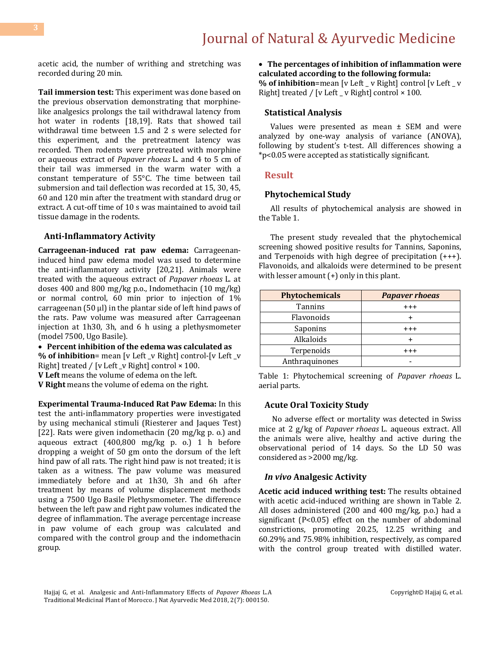acetic acid, the number of writhing and stretching was recorded during 20 min.

**Tail immersion test:** This experiment was done based on the previous observation demonstrating that morphinelike analgesics prolongs the tail withdrawal latency from hot water in rodents [18,19]. Rats that showed tail withdrawal time between 1.5 and 2 s were selected for this experiment, and the pretreatment latency was recorded. Then rodents were pretreated with morphine or aqueous extract of *Papaver rhoeas* L*.* and 4 to 5 cm of their tail was immersed in the warm water with a constant temperature of 55°C. The time between tail submersion and tail deflection was recorded at 15, 30, 45, 60 and 120 min after the treatment with standard drug or extract. A cut-off time of 10 s was maintained to avoid tail tissue damage in the rodents.

#### **Anti-Inflammatory Activity**

**Carrageenan-induced rat paw edema:** Carrageenaninduced hind paw edema model was used to determine the anti-inflammatory activity [20,21]. Animals were treated with the aqueous extract of *Papaver rhoeas* L*.* at doses 400 and 800 mg/kg p.o., Indomethacin (10 mg/kg) or normal control, 60 min prior to injection of 1% carrageenan (50 μl) in the plantar side of left hind paws of the rats. Paw volume was measured after Carrageenan injection at 1h30, 3h, and 6 h using a plethysmometer (model 7500, Ugo Basile).

**Percent inhibition of the edema was calculated as** 

**% of inhibition**= mean [v Left \_v Right] control-[v Left \_v Right] treated / [v Left \_v Right] control  $\times$  100.

**V Left** means the volume of edema on the left.

**V Right** means the volume of edema on the right.

**Experimental Trauma-Induced Rat Paw Edema:** In this test the anti-inflammatory properties were investigated by using mechanical stimuli (Riesterer and Jaques Test) [22]. Rats were given indomethacin (20 mg/kg p. o.) and aqueous extract (400,800 mg/kg p. o.) 1 h before dropping a weight of 50 gm onto the dorsum of the left hind paw of all rats. The right hind paw is not treated; it is taken as a witness. The paw volume was measured immediately before and at 1h30, 3h and 6h after treatment by means of volume displacement methods using a 7500 Ugo Basile Plethysmometer. The difference between the left paw and right paw volumes indicated the degree of inflammation. The average percentage increase in paw volume of each group was calculated and compared with the control group and the indomethacin group.

 **The percentages of inhibition of inflammation were calculated according to the following formula:** 

**% of inhibition**=mean [v Left \_ v Right] control [v Left \_ v Right] treated / [v Left  $\angle$  v Right] control  $\times$  100.

#### **Statistical Analysis**

Values were presented as mean ± SEM and were analyzed by one-way analysis of variance (ANOVA), following by student's t-test. All differences showing a \*p<0.05 were accepted as statistically significant.

#### **Result**

#### **Phytochemical Study**

All results of phytochemical analysis are showed in the [Table 1.](https://www.ncbi.nlm.nih.gov/pmc/articles/PMC3113358/table/T0001/)

The present study revealed that the phytochemical screening showed positive results for Tannins, Saponins, and Terpenoids with high degree of precipitation (+++). Flavonoids, and alkaloids were determined to be present with lesser amount  $(+)$  only in this plant.

| <b>Phytochemicals</b> | <b>Papaver rhoeas</b> |
|-----------------------|-----------------------|
| <b>Tannins</b>        | $^{++}$               |
| Flavonoids            |                       |
| Saponins              | $^{+++}$              |
| Alkaloids             |                       |
| Terpenoids            | $^{\mathrm{+++}}$     |
| Anthraquinones        |                       |

Table 1: Phytochemical screening of *Papaver rhoeas* L*.* aerial parts.

#### **Acute Oral Toxicity Study**

No adverse effect or mortality was detected in Swiss mice at 2 g/kg of *Papaver rhoeas* L*.* aqueous extract. All the animals were alive, healthy and active during the observational period of 14 days. So the LD 50 was considered as >2000 mg/kg.

#### *In vivo* **Analgesic Activity**

**Acetic acid induced writhing test:** The results obtained with acetic acid-induced writhing are shown in Table 2. All doses administered (200 and 400 mg/kg, p.o.) had a significant (P<0.05) effect on the number of abdominal constrictions, promoting 20.25, 12.25 writhing and 60.29% and 75.98% inhibition, respectively, as compared with the control group treated with distilled water.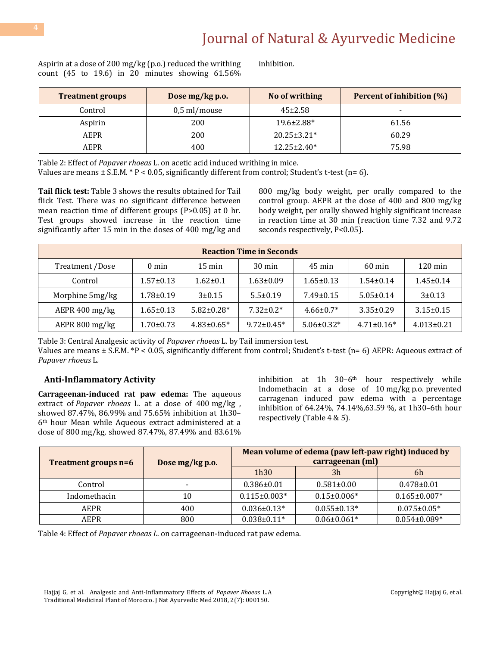Aspirin at a dose of 200 mg/kg (p.o.) reduced the writhing count  $(45 \text{ to } 19.6)$  in 20 minutes showing  $61.56\%$ 

inhibition.

| <b>Treatment groups</b> | No of writhing<br>Dose mg/kg p.o. |                    | <b>Percent of inhibition (%)</b> |
|-------------------------|-----------------------------------|--------------------|----------------------------------|
| Control                 | $0,5$ ml/mouse                    | $45 \pm 2.58$      |                                  |
| Aspirin                 | 200                               | 19.6±2.88*         | 61.56                            |
| AEPR                    | 200                               | $20.25 \pm 3.21^*$ | 60.29                            |
| AEPR                    | 400                               | 12.25±2.40*        | 75.98                            |

Table 2: Effect of *Papaver rhoeas* L*.* on acetic acid induced writhing in mice.

Values are means  $\pm$  S.E.M.  $*$  P < 0.05, significantly different from control; Student's t-test (n= 6).

**Tail flick test:** Table 3 shows the results obtained for Tail flick Test. There was no significant difference between mean reaction time of different groups (P>0.05) at 0 hr. Test groups showed increase in the reaction time significantly after 15 min in the doses of 400 mg/kg and 800 mg/kg body weight, per orally compared to the control group. AEPR at the dose of 400 and 800 mg/kg body weight, per orally showed highly significant increase in reaction time at 30 min (reaction time 7.32 and 9.72 seconds respectively, P<0.05).

| <b>Reaction Time in Seconds</b> |                 |                  |                  |                  |                  |                      |
|---------------------------------|-----------------|------------------|------------------|------------------|------------------|----------------------|
| Treatment /Dose                 | $0 \text{ min}$ | $15 \text{ min}$ | $30 \text{ min}$ | $45 \text{ min}$ | $60 \text{ min}$ | $120 \,\mathrm{min}$ |
| Control                         | $1.57 \pm 0.13$ | $1.62 \pm 0.1$   | $1.63 \pm 0.09$  | $1.65 \pm 0.13$  | $1.54 \pm 0.14$  | $1.45 \pm 0.14$      |
| Morphine 5mg/kg                 | $1.78 \pm 0.19$ | $3 + 0.15$       | $5.5 \pm 0.19$   | $7.49 \pm 0.15$  | $5.05 \pm 0.14$  | $3 \pm 0.13$         |
| AEPR 400 mg/kg                  | $1.65 \pm 0.13$ | $5.82 \pm 0.28*$ | $7.32 \pm 0.2^*$ | $4.66 \pm 0.7*$  | $3.35 \pm 0.29$  | $3.15 \pm 0.15$      |
| AEPR 800 mg/kg                  | $1.70 \pm 0.73$ | $4.83 \pm 0.65*$ | $9.72 \pm 0.45*$ | $5.06 \pm 0.32*$ | $4.71 \pm 0.16*$ | $4.013 \pm 0.21$     |

Table 3: Central Analgesic activity of *Papaver rhoeas* L*.* by Tail immersion test.

Values are means ± S.E.M. \*P < 0.05, significantly different from control; Student's t-test (n= 6) AEPR: Aqueous extract of *Papaver rhoeas* L*.*

### **Anti-Inflammatory Activity**

**Carrageenan-induced rat paw edema:** The aqueous extract of *Papaver rhoeas* L*.* at a dose of 400 mg/kg , showed 87.47%, 86.99% and 75.65% inhibition at 1h30– 6th hour Mean while Aqueous extract administered at a dose of 800 mg/kg, showed 87.47%, 87.49% and 83.61% inhibition at 1h  $30-6$ <sup>th</sup> hour respectively while Indomethacin at a dose of 10 mg/kg p.o. prevented carragenan induced paw edema with a percentage inhibition of 64.24%, 74.14%,63.59 %, at 1h30–6th hour respectively [\(Table 4](https://www.ncbi.nlm.nih.gov/pmc/articles/PMC5615419/table/tbl0005/) & 5).

| Treatment groups n=6 | Dose mg/kg p.o. | Mean volume of edema (paw left-paw right) induced by<br>carrageenan (ml) |                   |                    |
|----------------------|-----------------|--------------------------------------------------------------------------|-------------------|--------------------|
|                      |                 | 1h30                                                                     | 3 <sub>h</sub>    | 6h                 |
| Control              | $\,$ $\,$       | $0.386 \pm 0.01$                                                         | $0.581 \pm 0.00$  | $0.478 \pm 0.01$   |
| Indomethacin         | 10              | $0.115 \pm 0.003*$                                                       | $0.15 \pm 0.006*$ | $0.165 \pm 0.007*$ |
| AEPR                 | 400             | $0.036 \pm 0.13*$                                                        | $0.055 \pm 0.13*$ | $0.075 \pm 0.05*$  |
| AEPR                 | 800             | $0.038 \pm 0.11*$                                                        | $0.06 \pm 0.061*$ | $0.054 \pm 0.089*$ |

Table 4: Effect of *Papaver rhoeas L.* on carrageenan-induced rat paw edema.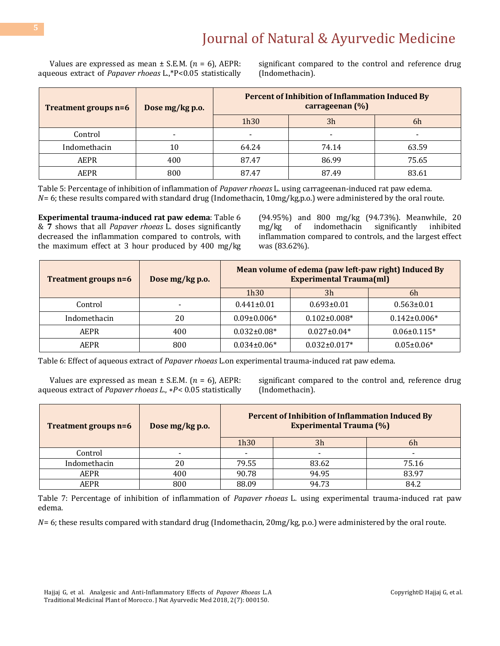Values are expressed as mean  $\pm$  S.E.M. ( $n = 6$ ), AEPR: aqueous extract of *Papaver rhoeas* L*.*,\*P<0.05 statistically significant compared to the control and reference drug (Indomethacin).

| Treatment groups n=6 | Dose mg/kg p.o. | <b>Percent of Inhibition of Inflammation Induced By</b><br>carrageenan (%) |                |       |
|----------------------|-----------------|----------------------------------------------------------------------------|----------------|-------|
|                      |                 | 1h30                                                                       | 3 <sub>h</sub> | 6h    |
| Control              |                 | -                                                                          |                |       |
| Indomethacin         | 10              | 64.24                                                                      | 74.14          | 63.59 |
| AEPR                 | 400             | 87.47                                                                      | 86.99          | 75.65 |
| AEPR                 | 800             | 87.47                                                                      | 87.49          | 83.61 |

Table 5: Percentage of inhibition of inflammation of *Papaver rhoeas* L*.* using carrageenan-induced rat paw edema.  $N= 6$ ; these results compared with standard drug (Indomethacin,  $10mg/kg$ ,p.o.) were administered by the oral route.

**Experimental trauma-induced rat paw edema**: Table 6 & **7** shows that all *Papaver rhoeas* L*.* doses significantly decreased the inflammation compared to controls, with the maximum effect at 3 hour produced by 400 mg/kg (94.95%) and 800 mg/kg (94.73%). Meanwhile, 20 mg/kg of indomethacin significantly inhibited inflammation compared to controls, and the largest effect was (83.62%).

| Treatment groups n=6 | Dose mg/kg p.o. | Mean volume of edema (paw left-paw right) Induced By<br><b>Experimental Trauma(ml)</b> |                    |                    |
|----------------------|-----------------|----------------------------------------------------------------------------------------|--------------------|--------------------|
|                      |                 | 1h30                                                                                   | 3 <sub>h</sub>     | 6h                 |
| Control              |                 | $0.441 \pm 0.01$                                                                       | $0.693 \pm 0.01$   | $0.563 \pm 0.01$   |
| Indomethacin         | 20              | $0.09 \pm 0.006*$                                                                      | $0.102 \pm 0.008*$ | $0.142 \pm 0.006*$ |
| AEPR                 | 400             | $0.032 \pm 0.08^*$                                                                     | $0.027 \pm 0.04*$  | $0.06 \pm 0.115$ * |
| AEPR                 | 800             | $0.034 \pm 0.06*$                                                                      | $0.032 \pm 0.017*$ | $0.05 \pm 0.06*$   |

Table 6: Effect of aqueous extract of *Papaver rhoeas* L*.*on experimental trauma-induced rat paw edema.

Values are expressed as mean  $\pm$  S.E.M. ( $n = 6$ ), AEPR: aqueous extract of *Papaver rhoeas L.*, \*P< 0.05 statistically significant compared to the control and, reference drug (Indomethacin).

| Treatment groups n=6 | Dose mg/kg p.o. | Percent of Inhibition of Inflammation Induced By<br><b>Experimental Trauma (%)</b> |                |       |
|----------------------|-----------------|------------------------------------------------------------------------------------|----------------|-------|
|                      |                 | 1h30                                                                               | 3 <sub>h</sub> | 6h    |
| Control              |                 |                                                                                    |                |       |
| Indomethacin         | 20              | 79.55                                                                              | 83.62          | 75.16 |
| AEPR                 | 400             | 90.78                                                                              | 94.95          | 83.97 |
| AEPR                 | 800             | 88.09                                                                              | 94.73          | 84.2  |

Table 7: Percentage of inhibition of inflammation of *Papaver rhoeas* L*.* using experimental trauma-induced rat paw edema.

 $N= 6$ ; these results compared with standard drug (Indomethacin, 20mg/kg, p.o.) were administered by the oral route.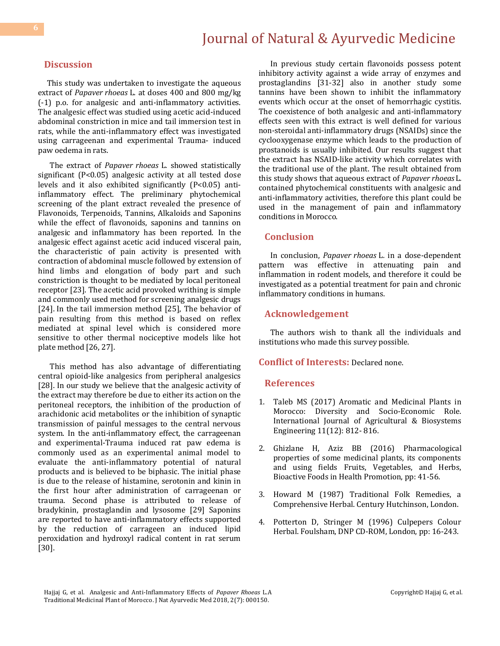### **Discussion**

 This study was undertaken to investigate the aqueous extract of *Papaver rhoeas* L*.* at doses 400 and 800 mg/kg (-1) p.o. for analgesic and anti-inflammatory activities. The analgesic effect was studied using acetic acid-induced abdominal constriction in mice and tail immersion test in rats, while the anti-inflammatory effect was investigated using carrageenan and experimental Trauma- induced paw oedema in rats.

The extract of *Papaver rhoeas* L*.* showed statistically significant (P<0.05) analgesic activity at all tested dose levels and it also exhibited significantly (P<0.05) antiinflammatory effect. The preliminary phytochemical screening of the plant extract revealed the presence of Flavonoids, Terpenoids, Tannins, Alkaloids and Saponins while the effect of flavonoids, saponins and tannins on analgesic and inflammatory has been reported. In the analgesic effect against acetic acid induced visceral pain, the characteristic of pain activity is presented with contraction of abdominal muscle followed by extension of hind limbs and elongation of body part and such constriction is thought to be mediated by local peritoneal receptor [\[23\]](https://www.ncbi.nlm.nih.gov/pmc/articles/PMC4761666/#B18). The acetic acid provoked writhing is simple and commonly used method for screening analgesic drugs [24]. In the tail immersion method [[25\]](https://www.ncbi.nlm.nih.gov/pmc/articles/PMC4761666/#B27), The behavior of pain resulting from this method is based on reflex mediated at spinal level which is considered more sensitive to other thermal nociceptive models like hot plate method [[26,](https://www.ncbi.nlm.nih.gov/pmc/articles/PMC4761666/#B29) 27].

This method has also advantage of differentiating central opioid-like analgesics from peripheral analgesics [28]. In our study we believe that the analgesic activity of the extract may therefore be due to either its action on the peritoneal receptors, the inhibition of the production of arachidonic acid metabolites or the inhibition of synaptic transmission of painful messages to the central nervous system. In the anti-inflammatory effect, the carrageenan and experimental-Trauma induced rat paw edema is commonly used as an experimental animal model to evaluate the anti-inflammatory potential of natural products and is believed to be biphasic. The initial phase is due to the release of histamine, serotonin and kinin in the first hour after administration of carrageenan or trauma. Second phase is attributed to release of bradykinin, prostaglandin and lysosome [29] Saponins are reported to have anti-inflammatory effects supported by the reduction of carrageen an induced lipid peroxidation and hydroxyl radical content in rat serum [30].

In previous study certain flavonoids possess potent inhibitory activity against a wide array of enzymes and prostaglandins [31-32] also in another study some tannins have been shown to inhibit the inflammatory events which occur at the onset of hemorrhagic cystitis. The coexistence of both analgesic and anti-inflammatory effects seen with this extract is well defined for various non-steroidal anti-inflammatory drugs (NSAIDs) since the cyclooxygenase enzyme which leads to the production of prostanoids is usually inhibited. Our results suggest that the extract has NSAID-like activity which correlates with the traditional use of the plant. The result obtained from this study shows that aqueous extract of *Papaver rhoeas* L*.* contained phytochemical constituents with analgesic and anti-inflammatory activities, therefore this plant could be used in the management of pain and inflammatory conditions in Morocco.

#### **Conclusion**

In conclusion, *Papaver rhoeas* L*.* in a dose-dependent pattern was effective in attenuating pain and inflammation in rodent models, and therefore it could be investigated as a potential treatment for pain and chronic inflammatory conditions in humans.

### **Acknowledgement**

The authors wish to thank all the individuals and institutions who made this survey possible.

#### **Conflict of Interests:** Declared none.

#### **References**

- 1. [Taleb MS \(2017\) Aromatic and Medicinal Plants in](https://waset.org/publications/10008271/aromatic-and-medicinal-plants-in-morocco-diversity-and-socio-economic-role)  [Morocco: Diversity and Socio-Economic Role.](https://waset.org/publications/10008271/aromatic-and-medicinal-plants-in-morocco-diversity-and-socio-economic-role)  [International Journal of Agricultural & Biosystems](https://waset.org/publications/10008271/aromatic-and-medicinal-plants-in-morocco-diversity-and-socio-economic-role)  [Engineering 11\(12\): 812-](https://waset.org/publications/10008271/aromatic-and-medicinal-plants-in-morocco-diversity-and-socio-economic-role) 816.
- 2. Ghizlane H, Aziz BB (2016) [Pharmacological](https://www.sciencedirect.com/science/article/pii/B9780128029725000032)  [properties of some medicinal plants, its components](https://www.sciencedirect.com/science/article/pii/B9780128029725000032)  [and using](https://www.sciencedirect.com/science/article/pii/B9780128029725000032) fields [Fruits, Vegetables, and Herbs,](https://www.sciencedirect.com/science/book/9780128029725) Bioactive Foods in Health Promotion, pp: 41-56.
- 3. Howard M (1987) Traditional Folk Remedies, a Comprehensive Herbal. Century Hutchinson, London.
- 4. Potterton D, Stringer M (1996) Culpepers Colour Herbal. Foulsham, DNP CD-ROM, London, pp: 16-243.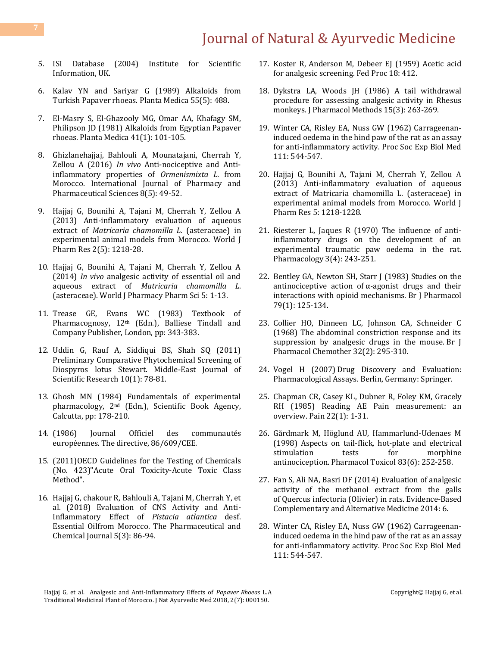- 5. ISI Database (2004) Institute for Scientific Information, UK.
- 6. [Kalav YN and Sariyar G \(1989\) Alkaloids](https://www.ncbi.nlm.nih.gov/pubmed/17262466) from Turkish [Papaver rhoeas.](https://www.ncbi.nlm.nih.gov/pubmed/17262466) Planta Medica 55(5): 488.
- 7. [El-Masry S, El-Ghazooly MG, Omar AA, Khafagy SM,](https://www.ncbi.nlm.nih.gov/pubmed/17401817)  [Philipson JD \(1981\) Alkaloids from Egyptian](https://www.ncbi.nlm.nih.gov/pubmed/17401817) Papaver [rhoeas. Planta Medica](https://www.ncbi.nlm.nih.gov/pubmed/17401817) 41(1): 101-105.
- 8. [Ghizlanehajjaj, Bahlouli A, Mounatajani, Cherrah Y,](https://innovareacademics.in/journals/index.php/ijpps/article/viewFile/9313/4745)  Zellou A (2016) *In vivo* [Anti-nociceptive and Anti](https://innovareacademics.in/journals/index.php/ijpps/article/viewFile/9313/4745)[inflammatory properties of](https://innovareacademics.in/journals/index.php/ijpps/article/viewFile/9313/4745) *Ormenismixta L.* from [Morocco. International Journal of Pharmacy and](https://innovareacademics.in/journals/index.php/ijpps/article/viewFile/9313/4745)  [Pharmaceutical Sciences 8\(5\): 49-52.](https://innovareacademics.in/journals/index.php/ijpps/article/viewFile/9313/4745)
- 9. Hajjaj G, Bounihi A, Tajani M, Cherrah Y, Zellou A (2013) Anti-inflammatory evaluation of aqueous extract of *Matricaria chamomilla L.* (asteraceae) in experimental animal models from Morocco. World J Pharm Res 2(5): 1218-28.
- 10. Hajjaj G, Bounihi A, Tajani M, Cherrah Y, Zellou A (2014) *In vivo* analgesic activity of essential oil and aqueous extract of *Matricaria chamomilla L*. (asteraceae). World J Pharmacy Pharm Sci 5: 1-13.
- 11. Trease GE, Evans WC (1983) Textbook of Pharmacognosy, 12<sup>th</sup> (Edn.), Balliese Tindall and Company Publisher, London, pp: 343-383.
- 12. [Uddin G, Rauf A, Siddiqui BS, Shah SQ \(2011\)](https://www.idosi.org/mejsr/mejsr10(1)11/14.pdf)  [Preliminary Comparative Phytochemical Screening of](https://www.idosi.org/mejsr/mejsr10(1)11/14.pdf)  [Diospyros lotus Stewart. Middle-East Journal of](https://www.idosi.org/mejsr/mejsr10(1)11/14.pdf)  [Scientific Research 10\(1\): 78-81.](https://www.idosi.org/mejsr/mejsr10(1)11/14.pdf)
- 13. Ghosh MN (1984) Fundamentals of experimental pharmacology, 2nd (Edn.), Scientific Book Agency, Calcutta, pp: 178-210.
- 14. (1986) Journal Officiel des communautés européennes. The directive, 86/609/CEE.
- 15. (2011)OECD Guidelines for the Testing of Chemicals (No. 423)"Acute Oral Toxicity-Acute Toxic Class Method".
- 16. [Hajjaj G, chakour R, Bahlouli A, Tajani M, Cherrah Y, et](http://tpcj.org/download/vol-5-iss-3-2018/TPCJ2018-05-03-86-94.pdf)  [al. \(2018\) Evaluation of CNS Activity and Anti-](http://tpcj.org/download/vol-5-iss-3-2018/TPCJ2018-05-03-86-94.pdf)[Inflammatory Effect of](http://tpcj.org/download/vol-5-iss-3-2018/TPCJ2018-05-03-86-94.pdf) *Pistacia atlantica* desf. [Essential Oilfrom Morocco. The Pharmaceutical and](http://tpcj.org/download/vol-5-iss-3-2018/TPCJ2018-05-03-86-94.pdf)  [Chemical Journal 5\(3\): 86-94.](http://tpcj.org/download/vol-5-iss-3-2018/TPCJ2018-05-03-86-94.pdf)
- 17. [Koster R, Anderson M, Debeer EJ \(1959\) Acetic acid](https://www.scopus.com/record/display.uri?eid=2-s2.0-84921752455&origin=inward)  [for analgesic screening. Fed Proc 18: 412.](https://www.scopus.com/record/display.uri?eid=2-s2.0-84921752455&origin=inward)
- 18. [Dykstra LA, Woods JH \(1986\) A tail withdrawal](https://www.ncbi.nlm.nih.gov/pubmed/3713205)  procedure [for assessing analgesic activity in Rhesus](https://www.ncbi.nlm.nih.gov/pubmed/3713205)  [monkeys. J Pharmacol Methods](https://www.ncbi.nlm.nih.gov/pubmed/3713205) 15(3): 263-269.
- 19. [Winter CA, Risley EA, Nuss GW \(1962\) Carrageenan](https://www.ncbi.nlm.nih.gov/pubmed/14001233)[induced oedema in the hind paw of the rat as an assay](https://www.ncbi.nlm.nih.gov/pubmed/14001233)  [for anti-inflammatory activity. Proc Soc Exp Biol Med](https://www.ncbi.nlm.nih.gov/pubmed/14001233)  [111: 544-547.](https://www.ncbi.nlm.nih.gov/pubmed/14001233)
- 20. Hajjaj G, Bounihi A, Tajani M, Cherrah Y, Zellou A (2013) Anti-inflammatory evaluation of aqueous extract of Matricaria chamomilla L. (asteraceae) in experimental animal models from Morocco. World J Pharm Res 5: 1218-1228.
- 21. Riesterer L. Jaques R (1970) The influence of anti[inflammatory drugs on the development of an](https://www.karger.com/Article/Abstract/136078)  [experimental traumatic paw oedema in the rat.](https://www.karger.com/Article/Abstract/136078)  [Pharmacology 3\(4\): 243-251.](https://www.karger.com/Article/Abstract/136078)
- 22. [Bentley GA, Newton SH, Starr J \(1983\) Studies on the](https://www.ncbi.nlm.nih.gov/pubmed/6135474/)  antinociceptive action of  $\alpha$ -agonist drugs and their [interactions with opioid mechanisms.](https://www.ncbi.nlm.nih.gov/pubmed/6135474/) Br J Pharmacol [79\(1\): 125-134.](https://www.ncbi.nlm.nih.gov/pubmed/6135474/)
- 23. [Collier HO, Dinneen LC, Johnson CA, Schneider C](https://www.ncbi.nlm.nih.gov/pubmed/4230818/)  [\(1968\) The abdominal constriction response and its](https://www.ncbi.nlm.nih.gov/pubmed/4230818/)  [suppression by analgesic drugs in the mouse.](https://www.ncbi.nlm.nih.gov/pubmed/4230818/) Br J [Pharmacol Chemother](https://www.ncbi.nlm.nih.gov/pubmed/4230818/) 32(2): 295-310.
- 24. Vogel H (2007) [Drug Discovery and Evaluation:](https://www.springer.com/in/book/9783540709954)  Pharmacological Assays. [Berlin, Germany: Springer.](https://www.springer.com/in/book/9783540709954)
- 25. [Chapman CR, Casey KL, Dubner R, Foley KM, Gracely](https://www.ncbi.nlm.nih.gov/pubmed/4011282)  [RH \(1985\) Reading AE Pain measurement: an](https://www.ncbi.nlm.nih.gov/pubmed/4011282)  overview. Pain [22\(1\): 1-31.](https://www.ncbi.nlm.nih.gov/pubmed/4011282)
- 26. [Gårdmark M, Höglund AU, Hammarlund-Udenaes M](https://www.ncbi.nlm.nih.gov/pubmed/9868743)  [\(1998\) Aspects on tail-flick, hot-plate and electrical](https://www.ncbi.nlm.nih.gov/pubmed/9868743)  stimulation tests for morphine antinociception. [Pharmacol Toxicol 83\(6\): 252-258.](https://www.ncbi.nlm.nih.gov/pubmed/9868743)
- 27. [Fan S, Ali NA, Basri DF \(2014\) Evaluation of analgesic](https://www.hindawi.com/journals/ecam/2014/976764/)  [activity of the methanol extract from the galls](https://www.hindawi.com/journals/ecam/2014/976764/)  of [Quercus infectoria](https://www.hindawi.com/journals/ecam/2014/976764/) (Olivier) in rats. Evidence-Based [Complementary and Alternative Medicine 2014: 6.](https://www.hindawi.com/journals/ecam/2014/976764/)
- 28. [Winter CA, Risley EA, Nuss GW \(1962\) Carrageenan](https://www.ncbi.nlm.nih.gov/pubmed/14001233)[induced oedema in the hind paw of the rat as an assay](https://www.ncbi.nlm.nih.gov/pubmed/14001233)  [for anti-inflammatory activity. Proc Soc Exp Biol Med](https://www.ncbi.nlm.nih.gov/pubmed/14001233)  [111: 544-547.](https://www.ncbi.nlm.nih.gov/pubmed/14001233)